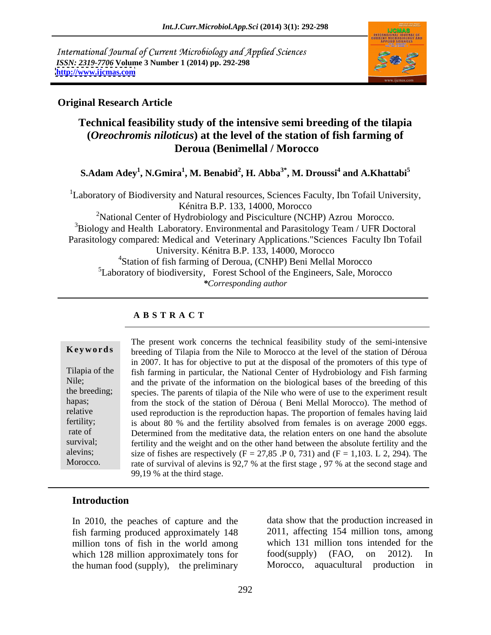International Journal of Current Microbiology and Applied Sciences *ISSN: 2319-7706* **Volume 3 Number 1 (2014) pp. 292-298 <http://www.ijcmas.com>**



### **Original Research Article**

## **Technical feasibility study of the intensive semi breeding of the tilapia (***Oreochromis niloticus***) at the level of the station of fish farming of Deroua (Benimellal / Morocco**

#### $\mathbf{S}\text{-}\mathbf{Adam\;A}\mathbf{dey}^{1}, \mathbf{N}\text{-}\mathbf{G}\text{mira}^{1}, \mathbf{M}\text{.\;Benabid}^{2}, \mathbf{H}\text{.\;A}\mathbf{b}\mathbf{b}\mathbf{a}^{3*}, \mathbf{M}\text{.\;Droussi}^{4} \text{ and } \mathbf{A}\text{-}\mathbf{K}\text{hattabi}^{5}$  **and A.Khattabi5**

<sup>1</sup>Laboratory of Biodiversity and Natural resources, Sciences Faculty, Ibn Tofail University,<br>Kénitra B.P. 133, 14000, Morocco

<sup>2</sup>National Center of Hydrobiology and Pisciculture (NCHP) Azrou Morocco. <sup>3</sup>Biology and Health Laboratory. Environmental and Parasitology Team / UFR Doctoral Parasitology compared: Medical and Veterinary Applications."Sciences Faculty Ibn Tofail University. Kénitra B.P. 133, 14000, Morocco <sup>4</sup>Station of fish farming of Deroua, (CNHP) Beni Mellal Morocco <sup>5</sup>Laboratory of biodiversity, Forest School of the Engineers, Sale, Morocco *\*Corresponding author*

### **A B S T R A C T**

**Keywords** breeding of Tilapia from the Nile to Morocco at the level of the station of Déroua Tilapia of the fish farming in particular, the National Center of Hydrobiology and Fish farming Nile; and the private of the information on the biological bases of the breeding of this the breeding; species. The parents of tilapia of the Nile who were of use to the experiment result hapas; from the stock of the station of Déroua (Beni Mellal Morocco). The method of relative used reproduction is the reproduction hapas. The proportion of females having laid fertility; is about 80 % and the fertility absolved from females is on average 2000 eggs. rate of Determined from the meditative data, the relation enters on one hand the absolute survival; fertility and the weight and on the other hand between the absolute fertility and the alevins; size of fishes are respectively  $(F = 27,85 \cdot P 0, 731)$  and  $(F = 1,103 \cdot L 2, 294)$ . The Morocco. The rate of survival of alevins is 92,7 % at the first stage, 97 % at the second stage and The present work concerns the technical feasibility study of the semi-intensive in 2007. It has for objective to put at the disposal of the promoters of this type of 99,19 % at the third stage.

### **Introduction**

In 2010, the peaches of capture and the fish farming produced approximately 148 million tons of fish in the world among

which 128 million approximately tons for food(supply) (FAO, on 2012). In the human food (supply), the preliminary Morocco, aquacultural production in data show that the production increased in 2011, affecting 154 million tons, among which 131 million tons intended for the food(supply) (FAO, on 2012). In Morocco, aquacultural production in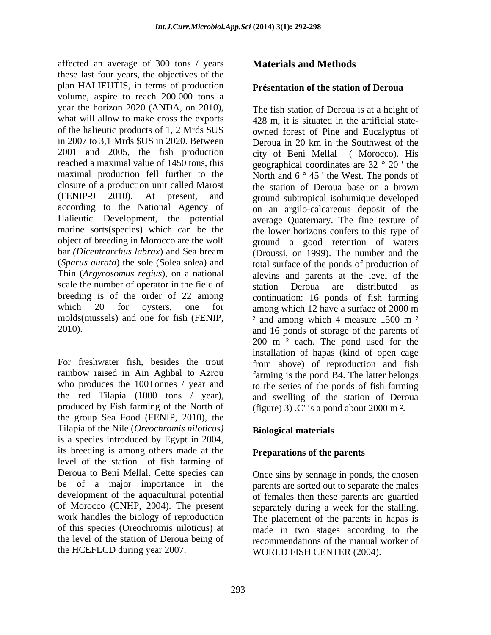affected an average of 300 tons / years **Materials and Methods** these last four years, the objectives of the plan HALIEUTIS, in terms of production volume, aspire to reach 200.000 tons a year the horizon 2020 (ANDA, on 2010), what will allow to make cross the exports of the halieutic products of 1, 2 Mrds \$US in 2007 to 3,1 Mrds \$US in 2020. Between Deroua in 20 km in the Southwest of the 2001 and 2005, the fish production city of Beni Mellal (Morocco). His reached a maximal value of 1450 tons, this geographical coordinates are 32 ° 20 ' the maximal production fell further to the closure of a production unit called Marost (FENIP-9 2010). At present, and ground subtropical isohumique developed according to the National Agency of on an argilo-calcareous deposit of the Halieutic Development, the potential marine sorts(species) which can be the the lower horizons confers to this type of object of breeding in Morocco are the wolf ground a good retention of waters bar *(Dicentrarchus labrax*) and Sea bream (Droussi, on 1999). The number and the (*Sparus aurata*) the sole (Solea solea) and total surface of the ponds of production of Thin (*Argyrosomus regius*), on a national alevins and parents at the level of the scale the number of operator in the field of station Deroua are distributed as breeding is of the order of 22 among continuation: 16 ponds of fish farming which 20 for oysters, one for among which 12 have a surface of 2000 m molds(mussels) and one for fish (FENIP,  $\frac{2 \text{ and among which 4 measure } 1500 \text{ m}^2}{2 \text{ and } 1500 \text{ m}^2}$ 

produced by Fish farming of the North of the group Sea Food (FENIP, 2010), the Tilapia of the Nile (*Oreochromis niloticus)* is a species introduced by Egypt in 2004, its breeding is among others made at the level of the station of fish farming of Deroua to Beni Mellal. Cette species can be of a major importance in the parents are sorted out to separate the males development of the aquacultural potential of females then these parents are guarded of Morocco (CNHP, 2004). The present separately during a week for the stalling. work handles the biology of reproduction The placement of the parents in hapas is of this species (Oreochromis niloticus) at made in two stages according to the the level of the station of Deroua being of recommendations of the manual worker of the HCEFLCD during year 2007.

#### **Présentation of the station of Deroua**

2010). and 16 ponds of storage of the parents of For freshwater fish, besides the trout from above) of reproduction and fish rainbow raised in Ain Aghbal to Azrou farming is the pond B4. The latter belongs who produces the 100Tonnes / year and to the series of the ponds of fish farming the red Tilapia (1000 tons / year), and swelling of the station of Deroua affected an average of 300 tons / years **Materials and Methods**<br>affected an average of 300 temporary (materials and **Methods**<br>these last four years, the objectives of the **The station of Deronario and Solution**<br>power by  $\$ The fish station of Deroua is at a height of 428 m, it is situated in the artificial stateowned forest of Pine and Eucalyptus of city of Beni Mellal ( Morocco). His North and  $6^\circ$  45 ' the West. The ponds of the station of Deroua base on a brown average Quaternary. The fine texture of station Deroua are distributed as <sup>2</sup> and among which 4 measure 1500 m<sup>2</sup> 200 m ² each. The pond used for the installation of hapas (kind of open cage (figure) 3)  $\cdot$  C' is a pond about 2000 m<sup>2</sup>.

### **Biological materials**

### **Preparations of the parents**

Once sins by sennage in ponds, the chosen WORLD FISH CENTER (2004).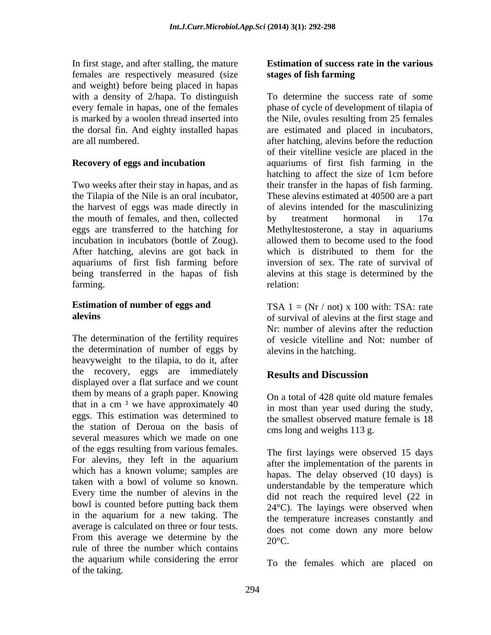In first stage, and after stalling, the mature **Estimation of success rate in the various** females are respectively measured (size stages of fish farming and weight) before being placed in hapas

the mouth of females, and then, collected by treatment hormonal in  $17\alpha$ After hatching, alevins are got back in which is distributed to them for the

the determination of number of eggs by heavyweight to the tilapia, to do it, after the recovery, eggs are immediately **Results and Discussion** displayed over a flat surface and we count them by means of a graph paper. Knowing that in a cm  $<sup>2</sup>$  we have approximately 40</sup> eggs. This estimation was determined to the station of Deroua on the basis of several measures which we made on one of the eggs resulting from various females. The first layings were observed 15 days For alevins, they left in the aquarium after the implementation of the parents in which has a known volume; samples are taken with a bowl of volume so known. Every time the number of alevins in the bowl is counted before putting back them  $24^{\circ}$  C). The layings were observed when in the aquarium for a new taking. The average is calculated on three or four tests. From this average we determine by the  $20^{\circ}$ C. rule of three the number which contains the aquarium while considering the error In finit stags, and the surface and the basis and the basis and the context of success<br>
and the various of final factor in the stationary of the stationary of the stationary of  $\alpha$  and the stationary of  $\alpha$  and the stati

# **stages of fish farming**

with a density of 2/hapa. To distinguish To determine the success rate of some every female in hapas, one of the females phase of cycle of development of tilapia of is marked by a woolen thread inserted into the Nile, ovules resulting from 25 females the dorsal fin. And eighty installed hapas are estimated and placed in incubators, are all numbered. after hatching, alevins before the reduction **Recovery of eggs and incubation** aquariums of first fish farming in the Two weeks after their stay in hapas, and as their transfer in the hapas of fish farming. the Tilapia of the Nile is an oral incubator, These alevins estimated at 40500 are a part the harvest of eggs was made directly in of alevins intended for the masculinizing eggs are transferred to the hatching for Methyltestosterone, a stay in aquariums incubation in incubators (bottle of Zoug). allowed them to become used to the food aquariums of first fish farming before inversion of sex. The rate of survival of being transferred in the hapas of fish alevins at this stage is determined by the farming. The contraction of the contraction of the contraction of the contraction of the contraction of the contraction of the contraction of the contraction of the contraction of the contraction of the contraction of the of their vitelline vesicle are placed in the hatching to affect the size of 1cm before by treatment hormonal in  $17\alpha$ which is distributed to them for the relation:

**Estimation of number of eggs and**  $TSA \, 1 = (Nr / not) \, x \, 100 \, \text{with:} \, TSA$ : rate **alevins** of survival of alevins at the first stage and The determination of the fertility requires of vesicle vitelline and Not: number of Nr: number of alevins after the reduction alevins in the hatching.

## **Results and Discussion**

On a total of 428 quite old mature females in most than year used during the study, the smallest observed mature female is 18 cms long and weighs 113 g.

The first layings were observed 15 days after the implementation of the parents in hapas. The delay observed (10 days) is understandable by the temperature which did not reach the required level (22 in 24°C). The layings were observed when the temperature increases constantly and does not come down any more below  $20^{\circ}$ C.

To the females which are placed on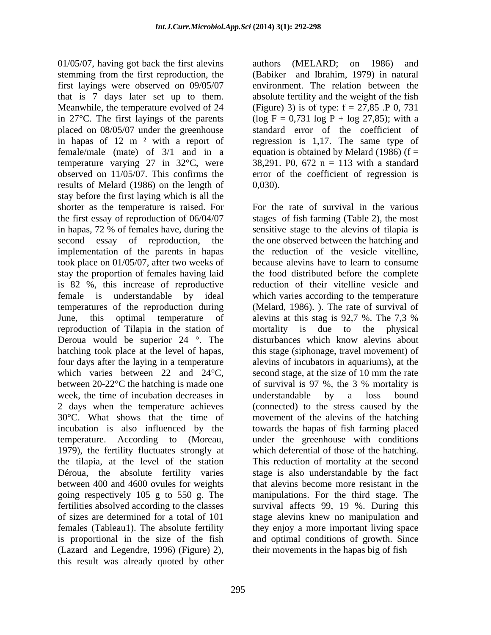01/05/07, having got back the first alevins authors (MELARD; on 1986) and stemming from the first reproduction, the (Babiker and Ibrahim, 1979) in natural first layings were observed on 09/05/07 that is 7 days later set up to them. Meanwhile, the temperature evolved of 24 (Figure) 3) is of type: f = 27,85 .P 0, 731 in 27<sup>o</sup>C. The first layings of the parents (log  $F = 0.731$  log  $P + \log 27.85$ ); with a placed on 08/05/07 under the greenhouse standard error of the coefficient of in hapas of 12 m ² with a report of regression is 1,17. The same type of female/male (mate) of 3/1 and in a temperature varying 27 in 32°C, were observed on 11/05/07. This confirms the error of the coefficient of regression is results of Melard (1986) on the length of  $0,030$ . stay before the first laying which is all the shorter as the temperature is raised. For the first essay of reproduction of 06/04/07 in hapas, 72 % of females have, during the sensitive stage to the alevins of tilapia is second essay of reproduction, the the one observed between the hatching and implementation of the parents in hapas took place on 01/05/07, after two weeks of because alevins have to learn to consume stay the proportion of females having laid the food distributed before thecomplete is 82 %, this increase of reproductive female is understandable by ideal which varies according to the temperature temperatures of the reproduction during June, this optimal temperature of alevins at this stag is 92,7 %. The 7,3 % reproduction of Tilapia in the station of Deroua would be superior 24 °. The disturbances which know alevins about hatching took place at the level of hapas, this stage (siphonage, travel movement) of four days after the laying in a temperature alevins of incubators in aquariums), at the which varies between 22 and  $24^{\circ}$ C, second stage, at the size of 10 mm the rate between 20-22<sup>o</sup>C the hatching is made one of survival is 97 %, the 3 % mortality is week, the time of incubation decreases in a understandable by a loss bound 2 days when the temperature achieves 30°C. What shows that the time of movement of the alevins of the hatching incubation is also influenced by the towards the hapas of fish farming placed temperature. According to (Moreau, under the greenhouse with conditions 1979), the fertility fluctuates strongly at which deferential of those of the hatching. the tilapia, at the level of the station This reduction of mortality at the second Déroua, the absolute fertility varies stage is also understandable by the fact between 400 and 4600 ovules for weights that alevins become more resistant in the going respectively 105 g to 550 g. The fertilities absolved according to the classes survival affects 99, 19 %. During this of sizes are determined for a total of 101 stage alevins knew no manipulation and females (Tableau1). The absolute fertility they enjoy a more important living space is proportional in the size of the fish and optimal conditions of growth. Since (Lazard and Legendre, 1996) (Figure) 2), this result was already quoted by other

authors (MELARD; on 1986) and environment. The relation between the absolute fertility and the weight of the fish equation is obtained by Melard (1986) ( $f =$ 38,291. P0, 672 n = 113 with a standard 0,030).

For the rate of survival in the various stages of fish farming (Table 2), the most the reduction of the vesicle vitelline, reduction of their vitelline vesicle and (Melard, 1986). ). The rate of survival of alevins at this stag is 92,7 %. The 7,3 % mortality is due to the physical of survival is 97 %, the 3 % mortality is understandable by a loss bound (connected) to the stress caused by the manipulations. For the third stage. The their movements in the hapas big of fish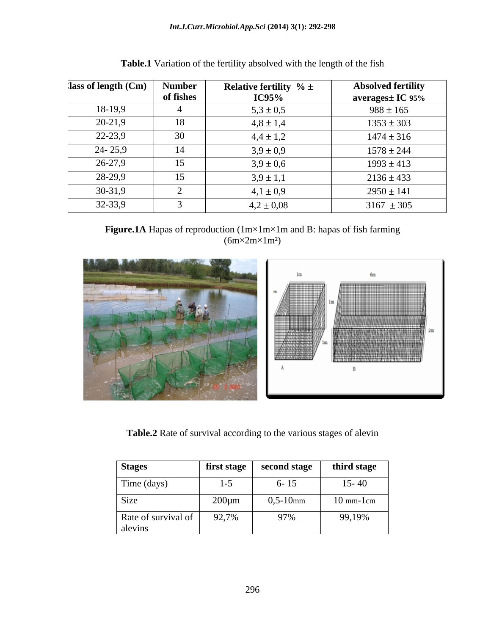| $\vert$ lass of length (Cm) $\vert$ | <b>Number</b> | <b>Relative fertility</b> $% \pm$ | <b>Absolved fertility</b> |
|-------------------------------------|---------------|-----------------------------------|---------------------------|
|                                     | of fishes     | <b>IC95%</b>                      | averages± IC 95%          |
| 18-19,9                             |               | $5,3 \pm 0,5$                     | $988 \pm 165$             |
| 20-21,9                             | 18            | $4,8 \pm 1,4$                     | $1353 \pm 303$            |
| 22-23,9                             | 30            | $4,4 \pm 1,2$                     | $1474 \pm 316$            |
| $24 - 25,9$                         | 14            | $3.9 \pm 0.9$                     | $1578 \pm 244$            |
| 26-27,9                             | 15            | $3.9 \pm 0.6$                     | $1993 \pm 413$            |
| 28-29,9                             | 15            | $3.9 \pm 1.1$                     | $2136 \pm 433$            |
| $30-31,9$                           |               | $4,1 \pm 0,9$                     | $2950 \pm 141$            |
| $32 - 33,9$                         |               | $4.2 \pm 0.08$                    | $3167 \pm 305$            |

| Table.1 Var<br>l Variation of the fertility absolved with the length of the fish |  |
|----------------------------------------------------------------------------------|--|
|                                                                                  |  |

**Figure.1A** Hapas of reproduction (1m×1m×1m and B: hapas of fish farming (6m×2m×1m<sup>2</sup>)



**Table.2** Rate of survival according to the various stages of alevin

| <b>Stages</b>                  |             | first stage   second stage   third stage |                             |
|--------------------------------|-------------|------------------------------------------|-----------------------------|
| Time (days)                    | $1 - 5$     | $6 - 15$                                 | $15 - 40$                   |
| Size                           | $200 \mu m$ | $0,5-10$ mm                              | $10 \text{ mm-}1 \text{cm}$ |
| Rate of survival of<br>alevins | 92,7%       | 97%                                      | 99,19%                      |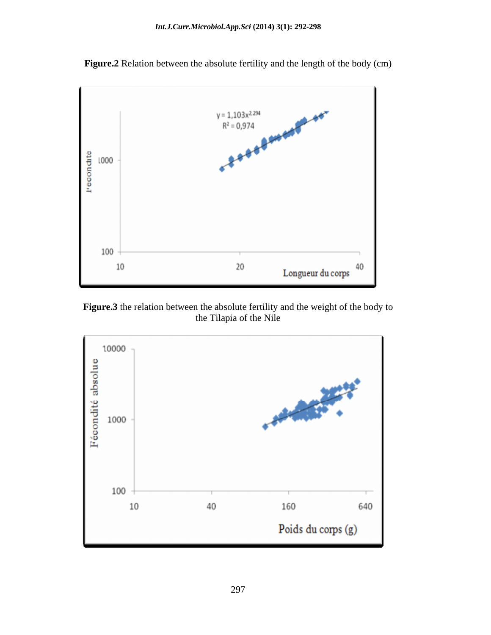

**Figure.2** Relation between the absolute fertility and the length of the body (cm)